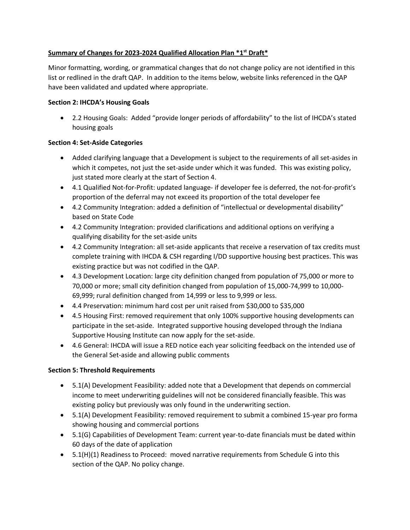## **Summary of Changes for 2023-2024 Qualified Allocation Plan \*1 st Draft\***

Minor formatting, wording, or grammatical changes that do not change policy are not identified in this list or redlined in the draft QAP. In addition to the items below, website links referenced in the QAP have been validated and updated where appropriate.

#### **Section 2: IHCDA's Housing Goals**

• 2.2 Housing Goals: Added "provide longer periods of affordability" to the list of IHCDA's stated housing goals

### **Section 4: Set-Aside Categories**

- Added clarifying language that a Development is subject to the requirements of all set-asides in which it competes, not just the set-aside under which it was funded. This was existing policy, just stated more clearly at the start of Section 4.
- 4.1 Qualified Not-for-Profit: updated language- if developer fee is deferred, the not-for-profit's proportion of the deferral may not exceed its proportion of the total developer fee
- 4.2 Community Integration: added a definition of "intellectual or developmental disability" based on State Code
- 4.2 Community Integration: provided clarifications and additional options on verifying a qualifying disability for the set-aside units
- 4.2 Community Integration: all set-aside applicants that receive a reservation of tax credits must complete training with IHCDA & CSH regarding I/DD supportive housing best practices. This was existing practice but was not codified in the QAP.
- 4.3 Development Location: large city definition changed from population of 75,000 or more to 70,000 or more; small city definition changed from population of 15,000-74,999 to 10,000- 69,999; rural definition changed from 14,999 or less to 9,999 or less.
- 4.4 Preservation: minimum hard cost per unit raised from \$30,000 to \$35,000
- 4.5 Housing First: removed requirement that only 100% supportive housing developments can participate in the set-aside. Integrated supportive housing developed through the Indiana Supportive Housing Institute can now apply for the set-aside.
- 4.6 General: IHCDA will issue a RED notice each year soliciting feedback on the intended use of the General Set-aside and allowing public comments

### **Section 5: Threshold Requirements**

- 5.1(A) Development Feasibility: added note that a Development that depends on commercial income to meet underwriting guidelines will not be considered financially feasible. This was existing policy but previously was only found in the underwriting section.
- 5.1(A) Development Feasibility: removed requirement to submit a combined 15-year pro forma showing housing and commercial portions
- 5.1(G) Capabilities of Development Team: current year-to-date financials must be dated within 60 days of the date of application
- 5.1(H)(1) Readiness to Proceed: moved narrative requirements from Schedule G into this section of the QAP. No policy change.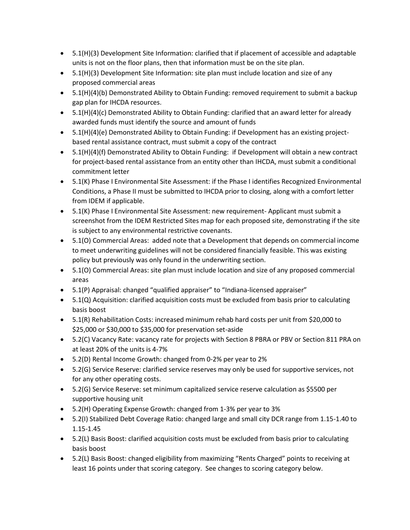- 5.1(H)(3) Development Site Information: clarified that if placement of accessible and adaptable units is not on the floor plans, then that information must be on the site plan.
- 5.1(H)(3) Development Site Information: site plan must include location and size of any proposed commercial areas
- 5.1(H)(4)(b) Demonstrated Ability to Obtain Funding: removed requirement to submit a backup gap plan for IHCDA resources.
- 5.1(H)(4)(c) Demonstrated Ability to Obtain Funding: clarified that an award letter for already awarded funds must identify the source and amount of funds
- 5.1(H)(4)(e) Demonstrated Ability to Obtain Funding: if Development has an existing projectbased rental assistance contract, must submit a copy of the contract
- 5.1(H)(4)(f) Demonstrated Ability to Obtain Funding: if Development will obtain a new contract for project-based rental assistance from an entity other than IHCDA, must submit a conditional commitment letter
- 5.1(K) Phase I Environmental Site Assessment: if the Phase I identifies Recognized Environmental Conditions, a Phase II must be submitted to IHCDA prior to closing, along with a comfort letter from IDEM if applicable.
- 5.1(K) Phase I Environmental Site Assessment: new requirement- Applicant must submit a screenshot from the IDEM Restricted Sites map for each proposed site, demonstrating if the site is subject to any environmental restrictive covenants.
- 5.1(O) Commercial Areas: added note that a Development that depends on commercial income to meet underwriting guidelines will not be considered financially feasible. This was existing policy but previously was only found in the underwriting section.
- 5.1(O) Commercial Areas: site plan must include location and size of any proposed commercial areas
- 5.1(P) Appraisal: changed "qualified appraiser" to "Indiana-licensed appraiser"
- 5.1(Q) Acquisition: clarified acquisition costs must be excluded from basis prior to calculating basis boost
- 5.1(R) Rehabilitation Costs: increased minimum rehab hard costs per unit from \$20,000 to \$25,000 or \$30,000 to \$35,000 for preservation set-aside
- 5.2(C) Vacancy Rate: vacancy rate for projects with Section 8 PBRA or PBV or Section 811 PRA on at least 20% of the units is 4-7%
- 5.2(D) Rental Income Growth: changed from 0-2% per year to 2%
- 5.2(G) Service Reserve: clarified service reserves may only be used for supportive services, not for any other operating costs.
- 5.2(G) Service Reserve: set minimum capitalized service reserve calculation as \$5500 per supportive housing unit
- 5.2(H) Operating Expense Growth: changed from 1-3% per year to 3%
- 5.2(I) Stabilized Debt Coverage Ratio: changed large and small city DCR range from 1.15-1.40 to 1.15-1.45
- 5.2(L) Basis Boost: clarified acquisition costs must be excluded from basis prior to calculating basis boost
- 5.2(L) Basis Boost: changed eligibility from maximizing "Rents Charged" points to receiving at least 16 points under that scoring category. See changes to scoring category below.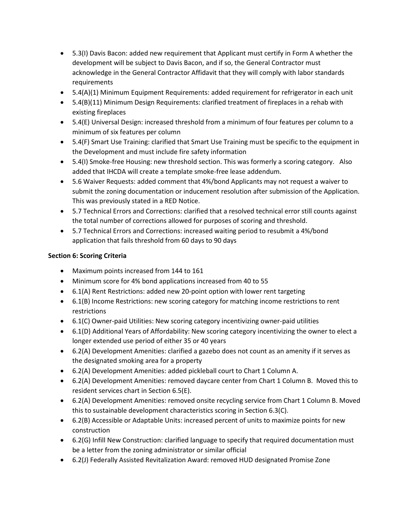- 5.3(I) Davis Bacon: added new requirement that Applicant must certify in Form A whether the development will be subject to Davis Bacon, and if so, the General Contractor must acknowledge in the General Contractor Affidavit that they will comply with labor standards requirements
- 5.4(A)(1) Minimum Equipment Requirements: added requirement for refrigerator in each unit
- 5.4(B)(11) Minimum Design Requirements: clarified treatment of fireplaces in a rehab with existing fireplaces
- 5.4(E) Universal Design: increased threshold from a minimum of four features per column to a minimum of six features per column
- 5.4(F) Smart Use Training: clarified that Smart Use Training must be specific to the equipment in the Development and must include fire safety information
- 5.4(I) Smoke-free Housing: new threshold section. This was formerly a scoring category. Also added that IHCDA will create a template smoke-free lease addendum.
- 5.6 Waiver Requests: added comment that 4%/bond Applicants may not request a waiver to submit the zoning documentation or inducement resolution after submission of the Application. This was previously stated in a RED Notice.
- 5.7 Technical Errors and Corrections: clarified that a resolved technical error still counts against the total number of corrections allowed for purposes of scoring and threshold.
- 5.7 Technical Errors and Corrections: increased waiting period to resubmit a 4%/bond application that fails threshold from 60 days to 90 days

### **Section 6: Scoring Criteria**

- Maximum points increased from 144 to 161
- Minimum score for 4% bond applications increased from 40 to 55
- 6.1(A) Rent Restrictions: added new 20-point option with lower rent targeting
- 6.1(B) Income Restrictions: new scoring category for matching income restrictions to rent restrictions
- 6.1(C) Owner-paid Utilities: New scoring category incentivizing owner-paid utilities
- 6.1(D) Additional Years of Affordability: New scoring category incentivizing the owner to elect a longer extended use period of either 35 or 40 years
- 6.2(A) Development Amenities: clarified a gazebo does not count as an amenity if it serves as the designated smoking area for a property
- 6.2(A) Development Amenities: added pickleball court to Chart 1 Column A.
- 6.2(A) Development Amenities: removed daycare center from Chart 1 Column B. Moved this to resident services chart in Section 6.5(E).
- 6.2(A) Development Amenities: removed onsite recycling service from Chart 1 Column B. Moved this to sustainable development characteristics scoring in Section 6.3(C).
- 6.2(B) Accessible or Adaptable Units: increased percent of units to maximize points for new construction
- 6.2(G) Infill New Construction: clarified language to specify that required documentation must be a letter from the zoning administrator or similar official
- 6.2(J) Federally Assisted Revitalization Award: removed HUD designated Promise Zone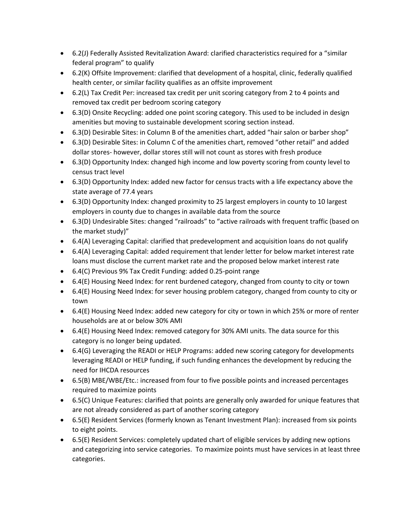- 6.2(J) Federally Assisted Revitalization Award: clarified characteristics required for a "similar federal program" to qualify
- 6.2(K) Offsite Improvement: clarified that development of a hospital, clinic, federally qualified health center, or similar facility qualifies as an offsite improvement
- 6.2(L) Tax Credit Per: increased tax credit per unit scoring category from 2 to 4 points and removed tax credit per bedroom scoring category
- 6.3(D) Onsite Recycling: added one point scoring category. This used to be included in design amenities but moving to sustainable development scoring section instead.
- 6.3(D) Desirable Sites: in Column B of the amenities chart, added "hair salon or barber shop"
- 6.3(D) Desirable Sites: in Column C of the amenities chart, removed "other retail" and added dollar stores- however, dollar stores still will not count as stores with fresh produce
- 6.3(D) Opportunity Index: changed high income and low poverty scoring from county level to census tract level
- 6.3(D) Opportunity Index: added new factor for census tracts with a life expectancy above the state average of 77.4 years
- 6.3(D) Opportunity Index: changed proximity to 25 largest employers in county to 10 largest employers in county due to changes in available data from the source
- 6.3(D) Undesirable Sites: changed "railroads" to "active railroads with frequent traffic (based on the market study)"
- 6.4(A) Leveraging Capital: clarified that predevelopment and acquisition loans do not qualify
- 6.4(A) Leveraging Capital: added requirement that lender letter for below market interest rate loans must disclose the current market rate and the proposed below market interest rate
- 6.4(C) Previous 9% Tax Credit Funding: added 0.25-point range
- 6.4(E) Housing Need Index: for rent burdened category, changed from county to city or town
- 6.4(E) Housing Need Index: for sever housing problem category, changed from county to city or town
- 6.4(E) Housing Need Index: added new category for city or town in which 25% or more of renter households are at or below 30% AMI
- 6.4(E) Housing Need Index: removed category for 30% AMI units. The data source for this category is no longer being updated.
- 6.4(G) Leveraging the READI or HELP Programs: added new scoring category for developments leveraging READI or HELP funding, if such funding enhances the development by reducing the need for IHCDA resources
- 6.5(B) MBE/WBE/Etc.: increased from four to five possible points and increased percentages required to maximize points
- 6.5(C) Unique Features: clarified that points are generally only awarded for unique features that are not already considered as part of another scoring category
- 6.5(E) Resident Services (formerly known as Tenant Investment Plan): increased from six points to eight points.
- 6.5(E) Resident Services: completely updated chart of eligible services by adding new options and categorizing into service categories. To maximize points must have services in at least three categories.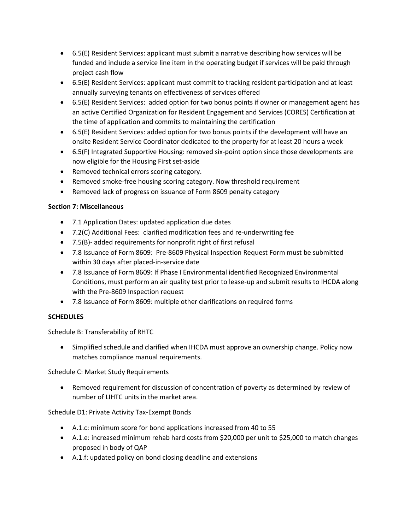- 6.5(E) Resident Services: applicant must submit a narrative describing how services will be funded and include a service line item in the operating budget if services will be paid through project cash flow
- 6.5(E) Resident Services: applicant must commit to tracking resident participation and at least annually surveying tenants on effectiveness of services offered
- 6.5(E) Resident Services: added option for two bonus points if owner or management agent has an active Certified Organization for Resident Engagement and Services (CORES) Certification at the time of application and commits to maintaining the certification
- 6.5(E) Resident Services: added option for two bonus points if the development will have an onsite Resident Service Coordinator dedicated to the property for at least 20 hours a week
- 6.5(F) Integrated Supportive Housing: removed six-point option since those developments are now eligible for the Housing First set-aside
- Removed technical errors scoring category.
- Removed smoke-free housing scoring category. Now threshold requirement
- Removed lack of progress on issuance of Form 8609 penalty category

## **Section 7: Miscellaneous**

- 7.1 Application Dates: updated application due dates
- 7.2(C) Additional Fees: clarified modification fees and re-underwriting fee
- 7.5(B)- added requirements for nonprofit right of first refusal
- 7.8 Issuance of Form 8609: Pre-8609 Physical Inspection Request Form must be submitted within 30 days after placed-in-service date
- 7.8 Issuance of Form 8609: If Phase I Environmental identified Recognized Environmental Conditions, must perform an air quality test prior to lease-up and submit results to IHCDA along with the Pre-8609 Inspection request
- 7.8 Issuance of Form 8609: multiple other clarifications on required forms

# **SCHEDULES**

Schedule B: Transferability of RHTC

• Simplified schedule and clarified when IHCDA must approve an ownership change. Policy now matches compliance manual requirements.

Schedule C: Market Study Requirements

• Removed requirement for discussion of concentration of poverty as determined by review of number of LIHTC units in the market area.

Schedule D1: Private Activity Tax-Exempt Bonds

- A.1.c: minimum score for bond applications increased from 40 to 55
- A.1.e: increased minimum rehab hard costs from \$20,000 per unit to \$25,000 to match changes proposed in body of QAP
- A.1.f: updated policy on bond closing deadline and extensions